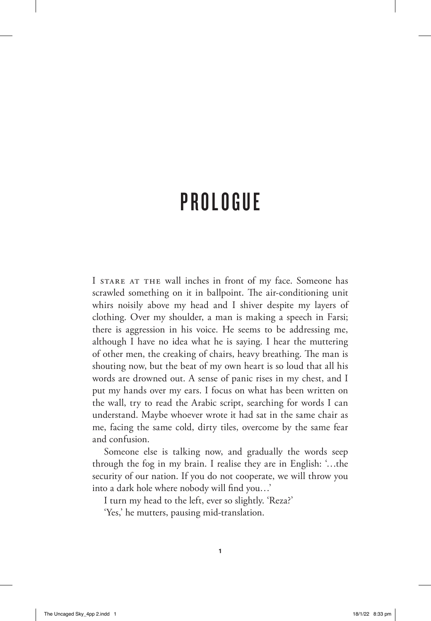## PROLOGUE

I STARE AT THE wall inches in front of my face. Someone has scrawled something on it in ballpoint. The air-conditioning unit whirs noisily above my head and I shiver despite my layers of clothing. Over my shoulder, a man is making a speech in Farsi; there is aggression in his voice. He seems to be addressing me, although I have no idea what he is saying. I hear the muttering of other men, the creaking of chairs, heavy breathing. The man is shouting now, but the beat of my own heart is so loud that all his words are drowned out. A sense of panic rises in my chest, and I put my hands over my ears. I focus on what has been written on the wall, try to read the Arabic script, searching for words I can understand. Maybe whoever wrote it had sat in the same chair as me, facing the same cold, dirty tiles, overcome by the same fear and confusion.

Someone else is talking now, and gradually the words seep through the fog in my brain. I realise they are in English: '…the security of our nation. If you do not cooperate, we will throw you into a dark hole where nobody will find you…'

I turn my head to the left, ever so slightly. 'Reza?'

'Yes,' he mutters, pausing mid-translation.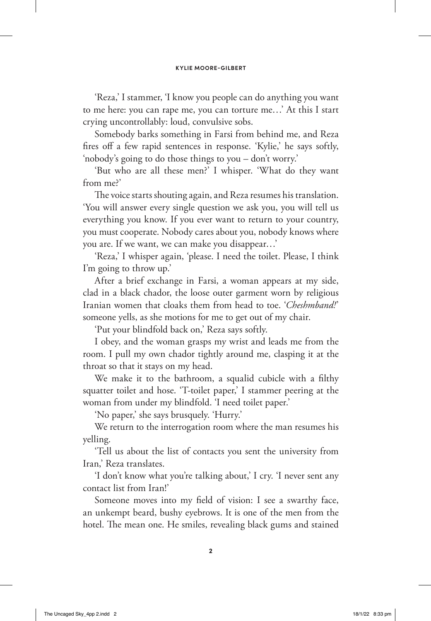'Reza,' I stammer, 'I know you people can do anything you want to me here: you can rape me, you can torture me…' At this I start crying uncontrollably: loud, convulsive sobs.

Somebody barks something in Farsi from behind me, and Reza fires off a few rapid sentences in response. 'Kylie,' he says softly, 'nobody's going to do those things to you – don't worry.'

'But who are all these men?' I whisper. 'What do they want from me?'

The voice starts shouting again, and Reza resumes his translation. 'You will answer every single question we ask you, you will tell us everything you know. If you ever want to return to your country, you must cooperate. Nobody cares about you, nobody knows where you are. If we want, we can make you disappear…'

'Reza,' I whisper again, 'please. I need the toilet. Please, I think I'm going to throw up.'

After a brief exchange in Farsi, a woman appears at my side, clad in a black chador, the loose outer garment worn by religious Iranian women that cloaks them from head to toe. '*Cheshmband!*' someone yells, as she motions for me to get out of my chair.

'Put your blindfold back on,' Reza says softly.

I obey, and the woman grasps my wrist and leads me from the room. I pull my own chador tightly around me, clasping it at the throat so that it stays on my head.

We make it to the bathroom, a squalid cubicle with a filthy squatter toilet and hose. 'T-toilet paper,' I stammer peering at the woman from under my blindfold. 'I need toilet paper.'

'No paper,' she says brusquely. 'Hurry.'

We return to the interrogation room where the man resumes his yelling.

'Tell us about the list of contacts you sent the university from Iran,' Reza translates.

'I don't know what you're talking about,' I cry. 'I never sent any contact list from Iran!'

Someone moves into my field of vision: I see a swarthy face, an unkempt beard, bushy eyebrows. It is one of the men from the hotel. The mean one. He smiles, revealing black gums and stained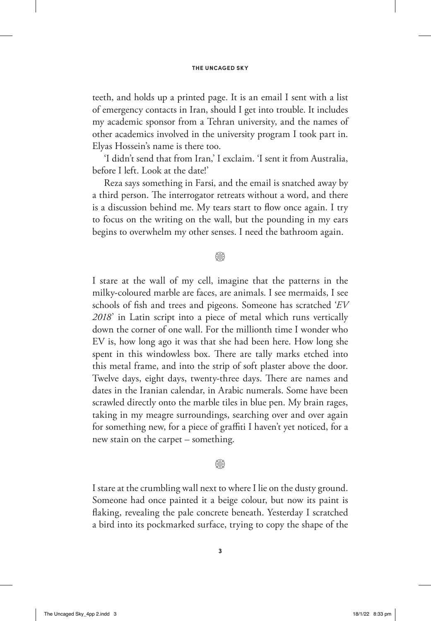teeth, and holds up a printed page. It is an email I sent with a list of emergency contacts in Iran, should I get into trouble. It includes my academic sponsor from a Tehran university, and the names of other academics involved in the university program I took part in. Elyas Hossein's name is there too.

'I didn't send that from Iran,' I exclaim. 'I sent it from Australia, before I left. Look at the date!'

Reza says something in Farsi, and the email is snatched away by a third person. The interrogator retreats without a word, and there is a discussion behind me. My tears start to flow once again. I try to focus on the writing on the wall, but the pounding in my ears begins to overwhelm my other senses. I need the bathroom again.

## @

I stare at the wall of my cell, imagine that the patterns in the milky-coloured marble are faces, are animals. I see mermaids, I see schools of fish and trees and pigeons. Someone has scratched '*EV 2018*' in Latin script into a piece of metal which runs vertically down the corner of one wall. For the millionth time I wonder who EV is, how long ago it was that she had been here. How long she spent in this windowless box. There are tally marks etched into this metal frame, and into the strip of soft plaster above the door. Twelve days, eight days, twenty-three days. There are names and dates in the Iranian calendar, in Arabic numerals. Some have been scrawled directly onto the marble tiles in blue pen. My brain rages, taking in my meagre surroundings, searching over and over again for something new, for a piece of graffiti I haven't yet noticed, for a new stain on the carpet – something.

## **& \$**

I stare at the crumbling wall next to where I lie on the dusty ground. Someone had once painted it a beige colour, but now its paint is flaking, revealing the pale concrete beneath. Yesterday I scratched a bird into its pockmarked surface, trying to copy the shape of the